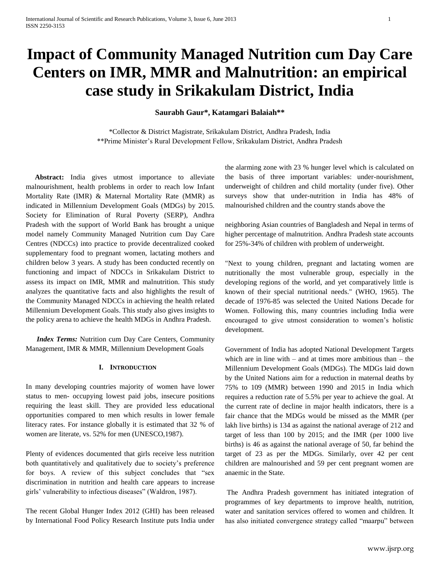# **Impact of Community Managed Nutrition cum Day Care Centers on IMR, MMR and Malnutrition: an empirical case study in Srikakulam District, India**

### **Saurabh Gaur\*, Katamgari Balaiah\*\***

\*Collector & District Magistrate, Srikakulam District, Andhra Pradesh, India \*\*Prime Minister's Rural Development Fellow, Srikakulam District, Andhra Pradesh

 **Abstract:** India gives utmost importance to alleviate malnourishment, health problems in order to reach low Infant Mortality Rate (IMR) & Maternal Mortality Rate (MMR) as indicated in Millennium Development Goals (MDGs) by 2015. Society for Elimination of Rural Poverty (SERP), Andhra Pradesh with the support of World Bank has brought a unique model namely Community Managed Nutrition cum Day Care Centres (NDCCs) into practice to provide decentralized cooked supplementary food to pregnant women, lactating mothers and children below 3 years. A study has been conducted recently on functioning and impact of NDCCs in Srikakulam District to assess its impact on IMR, MMR and malnutrition. This study analyzes the quantitative facts and also highlights the result of the Community Managed NDCCs in achieving the health related Millennium Development Goals. This study also gives insights to the policy arena to achieve the health MDGs in Andhra Pradesh.

 *Index Terms:* Nutrition cum Day Care Centers, Community Management, IMR & MMR, Millennium Development Goals

#### **I. INTRODUCTION**

In many developing countries majority of women have lower status to men- occupying lowest paid jobs, insecure positions requiring the least skill. They are provided less educational opportunities compared to men which results in lower female literacy rates. For instance globally it is estimated that 32 % of women are literate, vs. 52% for men (UNESCO,1987).

Plenty of evidences documented that girls receive less nutrition both quantitatively and qualitatively due to society's preference for boys. A review of this subject concludes that "sex discrimination in nutrition and health care appears to increase girls' vulnerability to infectious diseases" (Waldron, 1987).

The recent Global Hunger Index 2012 (GHI) has been released by International Food Policy Research Institute puts India under the alarming zone with 23 % hunger level which is calculated on the basis of three important variables: under-nourishment, underweight of children and child mortality (under five). Other surveys show that under-nutrition in India has 48% of malnourished children and the country stands above the

neighboring Asian countries of Bangladesh and Nepal in terms of higher percentage of malnutrition. Andhra Pradesh state accounts for 25%-34% of children with problem of underweight.

"Next to young children, pregnant and lactating women are nutritionally the most vulnerable group, especially in the developing regions of the world, and yet comparatively little is known of their special nutritional needs." (WHO, 1965). The decade of 1976-85 was selected the United Nations Decade for Women. Following this, many countries including India were encouraged to give utmost consideration to women's holistic development.

Government of India has adopted National Development Targets which are in line with – and at times more ambitious than – the Millennium Development Goals (MDGs). The MDGs laid down by the United Nations aim for a reduction in maternal deaths by 75% to 109 (MMR) between 1990 and 2015 in India which requires a reduction rate of 5.5% per year to achieve the goal. At the current rate of decline in major health indicators, there is a fair chance that the MDGs would be missed as the MMR (per lakh live births) is 134 as against the national average of 212 and target of less than 100 by 2015; and the IMR (per 1000 live births) is 46 as against the national average of 50, far behind the target of 23 as per the MDGs. Similarly, over 42 per cent children are malnourished and 59 per cent pregnant women are anaemic in the State.

The Andhra Pradesh government has initiated integration of programmes of key departments to improve health, nutrition, water and sanitation services offered to women and children. It has also initiated convergence strategy called "maarpu" between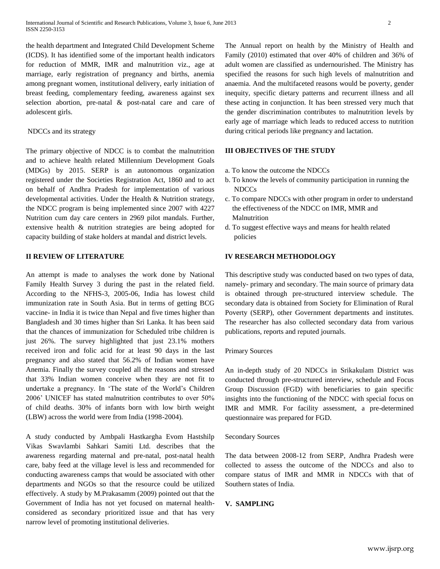the health department and Integrated Child Development Scheme (ICDS). It has identified some of the important health indicators for reduction of MMR, IMR and malnutrition viz., age at marriage, early registration of pregnancy and births, anemia among pregnant women, institutional delivery, early initiation of breast feeding, complementary feeding, awareness against sex selection abortion, pre-natal & post-natal care and care of adolescent girls.

#### NDCCs and its strategy

The primary objective of NDCC is to combat the malnutrition and to achieve health related Millennium Development Goals (MDGs) by 2015. SERP is an autonomous organization registered under the Societies Registration Act, 1860 and to act on behalf of Andhra Pradesh for implementation of various developmental activities. Under the Health & Nutrition strategy, the NDCC program is being implemented since 2007 with 4227 Nutrition cum day care centers in 2969 pilot mandals. Further, extensive health & nutrition strategies are being adopted for capacity building of stake holders at mandal and district levels.

#### **II REVIEW OF LITERATURE**

An attempt is made to analyses the work done by National Family Health Survey 3 during the past in the related field. According to the NFHS-3, 2005-06, India has lowest child immunization rate in South Asia. But in terms of getting BCG vaccine- in India it is twice than Nepal and five times higher than Bangladesh and 30 times higher than Sri Lanka. It has been said that the chances of immunization for Scheduled tribe children is just 26%. The survey highlighted that just 23.1% mothers received iron and folic acid for at least 90 days in the last pregnancy and also stated that 56.2% of Indian women have Anemia. Finally the survey coupled all the reasons and stressed that 33% Indian women conceive when they are not fit to undertake a pregnancy. In 'The state of the World's Children 2006' UNICEF has stated malnutrition contributes to over 50% of child deaths. 30% of infants born with low birth weight (LBW) across the world were from India (1998-2004).

A study conducted by Ambpali Hastkargha Evom Hastshilp Vikas Swavlambi Sahkari Samiti Ltd. describes that the awareness regarding maternal and pre-natal, post-natal health care, baby feed at the village level is less and recommended for conducting awareness camps that would be associated with other departments and NGOs so that the resource could be utilized effectively. A study by M.Prakasamm (2009) pointed out that the Government of India has not yet focused on maternal healthconsidered as secondary prioritized issue and that has very narrow level of promoting institutional deliveries.

The Annual report on health by the Ministry of Health and Family (2010) estimated that over 40% of children and 36% of adult women are classified as undernourished. The Ministry has specified the reasons for such high levels of malnutrition and anaemia. And the multifaceted reasons would be poverty, gender inequity, specific dietary patterns and recurrent illness and all these acting in conjunction. It has been stressed very much that the gender discrimination contributes to malnutrition levels by early age of marriage which leads to reduced access to nutrition during critical periods like pregnancy and lactation.

## **III OBJECTIVES OF THE STUDY**

- a. To know the outcome the NDCCs
- b. To know the levels of community participation in running the NDCCs
- c. To compare NDCCs with other program in order to understand the effectiveness of the NDCC on IMR, MMR and Malnutrition
- d. To suggest effective ways and means for health related policies

#### **IV RESEARCH METHODOLOGY**

This descriptive study was conducted based on two types of data, namely- primary and secondary. The main source of primary data is obtained through pre-structured interview schedule. The secondary data is obtained from Society for Elimination of Rural Poverty (SERP), other Government departments and institutes. The researcher has also collected secondary data from various publications, reports and reputed journals.

#### Primary Sources

An in-depth study of 20 NDCCs in Srikakulam District was conducted through pre-structured interview, schedule and Focus Group Discussion (FGD) with beneficiaries to gain specific insights into the functioning of the NDCC with special focus on IMR and MMR. For facility assessment, a pre-determined questionnaire was prepared for FGD.

#### Secondary Sources

The data between 2008-12 from SERP, Andhra Pradesh were collected to assess the outcome of the NDCCs and also to compare status of IMR and MMR in NDCCs with that of Southern states of India.

#### **V. SAMPLING**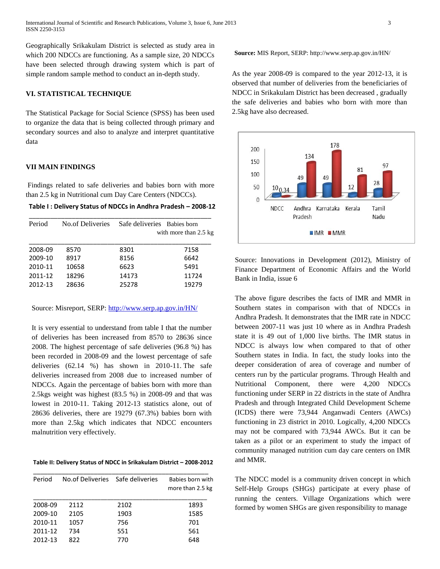Geographically Srikakulam District is selected as study area in which 200 NDCCs are functioning. As a sample size, 20 NDCCs have been selected through drawing system which is part of simple random sample method to conduct an in-depth study.

#### **VI. STATISTICAL TECHNIQUE**

The Statistical Package for Social Science (SPSS) has been used to organize the data that is being collected through primary and secondary sources and also to analyze and interpret quantitative data

#### **VII MAIN FINDINGS**

Findings related to safe deliveries and babies born with more than 2.5 kg in Nutritional cum Day Care Centers (NDCCs).

|  | Table I: Delivery Status of NDCCs in Andhra Pradesh - 2008-12 |  |  |  |
|--|---------------------------------------------------------------|--|--|--|
|--|---------------------------------------------------------------|--|--|--|

| Period  | No of Deliveries | Safe deliveries Babies born | with more than 2.5 kg |
|---------|------------------|-----------------------------|-----------------------|
| 2008-09 | 8570             | 8301                        | 7158                  |
| 2009-10 | 8917             | 8156                        | 6642                  |
| 2010-11 | 10658            | 6623                        | 5491                  |
| 2011-12 | 18296            | 14173                       | 11724                 |
| 2012-13 | 28636            | 25278                       | 19279                 |

Source: Misreport, SERP: [http://www.serp.ap.gov.in/HN/](http://www.google.com/url?q=http%3A%2F%2Fwww.serp.ap.gov.in%2FHN%2F&sa=D&sntz=1&usg=AFQjCNEid1QelTKlPImI8Kt84nir-qX03Q)

It is very essential to understand from table I that the number of deliveries has been increased from 8570 to 28636 since 2008. The highest percentage of safe deliveries (96.8 %) has been recorded in 2008-09 and the lowest percentage of safe deliveries (62.14 %) has shown in 2010-11. The safe deliveries increased from 2008 due to increased number of NDCCs. Again the percentage of babies born with more than 2.5kgs weight was highest (83.5 %) in 2008-09 and that was lowest in 2010-11. Taking 2012-13 statistics alone, out of 28636 deliveries, there are 19279 (67.3%) babies born with more than 2.5kg which indicates that NDCC encounters malnutrition very effectively.

#### **Table II: Delivery Status of NDCC in Srikakulam District – 2008-2012**

| Period  | No.of Deliveries Safe deliveries |      | Babies born with<br>more than 2.5 kg |
|---------|----------------------------------|------|--------------------------------------|
| 2008-09 | 2112                             | 2102 | 1893                                 |
| 2009-10 | 2105                             | 1903 | 1585                                 |
| 2010-11 | 1057                             | 756  | 701                                  |
| 2011-12 | 734                              | 551  | 561                                  |
| 2012-13 | 822                              | 770  | 648                                  |

**Source:** MIS Report, SERP: http://www.serp.ap.gov.in/HN/

As the year 2008-09 is compared to the year 2012-13, it is observed that number of deliveries from the beneficiaries of NDCC in Srikakulam District has been decreased , gradually the safe deliveries and babies who born with more than 2.5kg have also decreased.



Source: Innovations in Development (2012), Ministry of Finance Department of Economic Affairs and the World Bank in India, issue 6

The above figure describes the facts of IMR and MMR in Southern states in comparison with that of NDCCs in Andhra Pradesh. It demonstrates that the IMR rate in NDCC between 2007-11 was just 10 where as in Andhra Pradesh state it is 49 out of 1,000 live births. The IMR status in NDCC is always low when compared to that of other Southern states in India. In fact, the study looks into the deeper consideration of area of coverage and number of centers run by the particular programs. Through Health and Nutritional Component, there were 4,200 NDCCs functioning under SERP in 22 districts in the state of Andhra Pradesh and through Integrated Child Development Scheme (ICDS) there were 73,944 Anganwadi Centers (AWCs) functioning in 23 district in 2010. Logically, 4,200 NDCCs may not be compared with 73,944 AWCs. But it can be taken as a pilot or an experiment to study the impact of community managed nutrition cum day care centers on IMR and MMR.

The NDCC model is a community driven concept in which Self-Help Groups (SHGs) participate at every phase of running the centers. Village Organizations which were formed by women SHGs are given responsibility to manage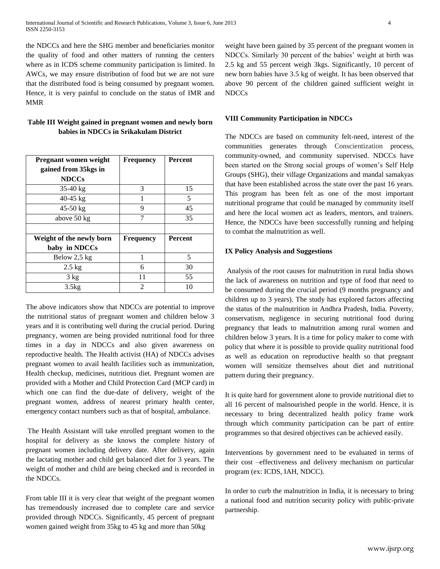the NDCCs and here the SHG member and beneficiaries monitor the quality of food and other matters of running the centers where as in ICDS scheme community participation is limited. In AWCs, we may ensure distribution of food but we are not sure that the distributed food is being consumed by pregnant women. Hence, it is very painful to conclude on the status of IMR and MMR

## **Table III Weight gained in pregnant women and newly born babies in NDCCs in Srikakulam District**

| <b>Pregnant women weight</b> | <b>Frequency</b> | <b>Percent</b> |
|------------------------------|------------------|----------------|
| gained from 35kgs in         |                  |                |
| <b>NDCCs</b>                 |                  |                |
| $35-40 \text{ kg}$           | 3                | 15             |
| $40-45$ kg                   | 1                | 5              |
| $45-50$ kg                   | 9                | 45             |
| above 50 kg                  | 7                | 35             |
|                              |                  |                |
| Weight of the newly born     | <b>Frequency</b> | <b>Percent</b> |
| baby in NDCCs                |                  |                |
| Below 2,5 kg                 | 1                | 5              |
| $2.5$ kg                     | 6                | 30             |
| $3 \text{ kg}$               | 11               | 55             |
| 3.5kg                        | $\mathfrak{D}$   | 10             |

The above indicators show that NDCCs are potential to improve the nutritional status of pregnant women and children below 3 years and it is contributing well during the crucial period. During pregnancy, women are being provided nutritional food for three times in a day in NDCCs and also given awareness on reproductive health. The Health activist (HA) of NDCCs advises pregnant women to avail health facilities such as immunization, Health checkup, medicines, nutritious diet. Pregnant women are provided with a Mother and Child Protection Card (MCP card) in which one can find the due-date of delivery, weight of the pregnant women, address of nearest primary health center, emergency contact numbers such as that of hospital, ambulance.

The Health Assistant will take enrolled pregnant women to the hospital for delivery as she knows the complete history of pregnant women including delivery date. After delivery, again the lactating mother and child get balanced diet for 3 years. The weight of mother and child are being checked and is recorded in the NDCCs.

From table III it is very clear that weight of the pregnant women has tremendously increased due to complete care and service provided through NDCCs. Significantly, 45 percent of pregnant women gained weight from 35kg to 45 kg and more than 50kg

weight have been gained by 35 percent of the pregnant women in NDCCs. Similarly 30 percent of the babies' weight at birth was 2.5 kg and 55 percent weigh 3kgs. Significantly, 10 percent of new born babies have 3.5 kg of weight. It has been observed that above 90 percent of the children gained sufficient weight in NDCCs

#### **VIII Community Participation in NDCCs**

The NDCCs are based on community felt-need, interest of the communities generates through Conscientization process, community-owned, and community supervised. NDCCs have been started on the Strong social groups of women's Self Help Groups (SHG), their village Organizations and mandal samakyas that have been established across the state over the past 16 years. This program has been felt as one of the most important nutritional programe that could be managed by community itself and here the local women act as leaders, mentors, and trainers. Hence, the NDCCs have been successfully running and helping to combat the malnutrition as well.

#### **IX Policy Analysis and Suggestions**

Analysis of the root causes for malnutrition in rural India shows the lack of awareness on nutrition and type of food that need to be consumed during the crucial period (9 months pregnancy and children up to 3 years). The study has explored factors affecting the status of the malnutrition in Andhra Pradesh, India. Poverty, conservatism, negligence in securing nutritional food during pregnancy that leads to malnutrition among rural women and children below 3 years. It is a time for policy maker to come with policy that where it is possible to provide quality nutritional food as well as education on reproductive health so that pregnant women will sensitize themselves about diet and nutritional pattern during their pregnancy.

It is quite hard for government alone to provide nutritional diet to all 16 percent of malnourished people in the world. Hence, it is necessary to bring decentralized health policy frame work through which community participation can be part of entire programmes so that desired objectives can be achieved easily.

Interventions by government need to be evaluated in terms of their cost –effectiveness and delivery mechanism on particular program (ex: ICDS, IAH, NDCC).

In order to curb the malnutrition in India, it is necessary to bring a national food and nutrition security policy with public-private partnership.